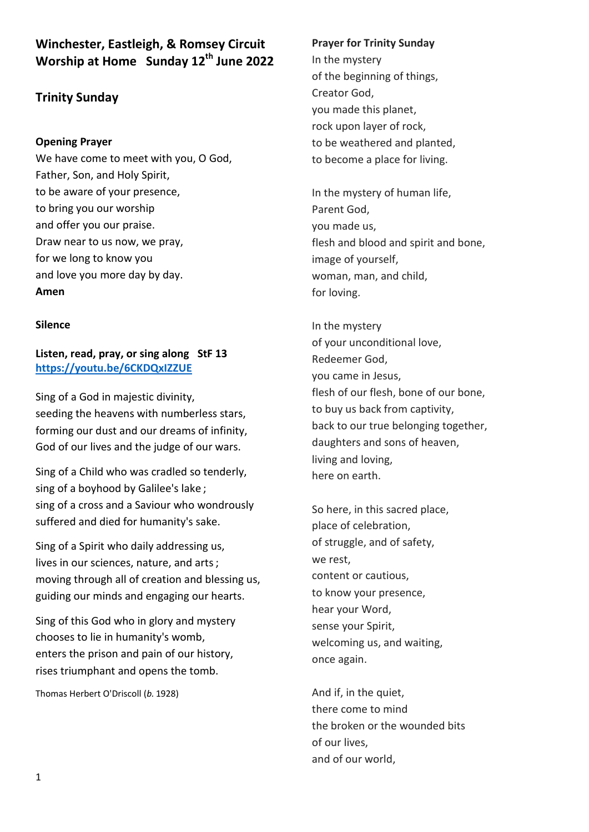**Winchester, Eastleigh, & Romsey Circuit Worship at Home Sunday 12th June 2022** 

# **Trinity Sunday**

## **Opening Prayer**

We have come to meet with you, O God, Father, Son, and Holy Spirit, to be aware of your presence, to bring you our worship and offer you our praise. Draw near to us now, we pray, for we long to know you and love you more day by day. **Amen**

#### **Silence**

**Listen, read, pray, or sing along StF 13 <https://youtu.be/6CKDQxIZZUE>**

Sing of a God in majestic divinity, seeding the heavens with numberless stars, forming our dust and our dreams of infinity, God of our lives and the judge of our wars.

Sing of a Child who was cradled so tenderly, sing of a boyhood by Galilee's lake ; sing of a cross and a Saviour who wondrously suffered and died for humanity's sake.

Sing of a Spirit who daily addressing us, lives in our sciences, nature, and arts ; moving through all of creation and blessing us, guiding our minds and engaging our hearts.

Sing of this God who in glory and mystery chooses to lie in humanity's womb, enters the prison and pain of our history, rises triumphant and opens the tomb.

Thomas Herbert O'Driscoll (*b.* 1928)

#### **Prayer for Trinity Sunday**

In the mystery of the beginning of things, Creator God, you made this planet, rock upon layer of rock, to be weathered and planted, to become a place for living.

In the mystery of human life, Parent God, you made us, flesh and blood and spirit and bone, image of yourself, woman, man, and child, for loving.

In the mystery of your unconditional love, Redeemer God, you came in Jesus, flesh of our flesh, bone of our bone, to buy us back from captivity, back to our true belonging together, daughters and sons of heaven, living and loving, here on earth.

So here, in this sacred place, place of celebration, of struggle, and of safety, we rest, content or cautious, to know your presence, hear your Word, sense your Spirit, welcoming us, and waiting, once again.

And if, in the quiet, there come to mind the broken or the wounded bits of our lives, and of our world,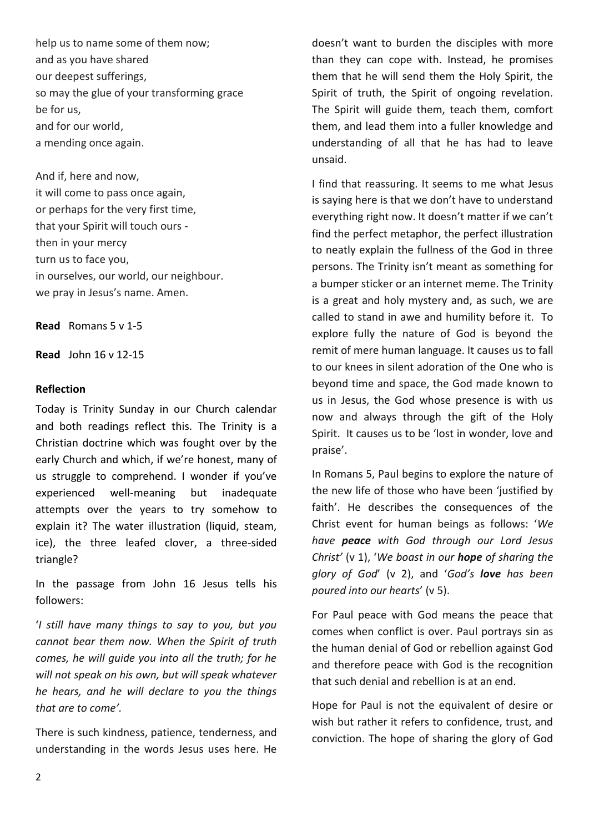help us to name some of them now; and as you have shared our deepest sufferings, so may the glue of your transforming grace be for us, and for our world, a mending once again.

And if, here and now, it will come to pass once again, or perhaps for the very first time, that your Spirit will touch ours then in your mercy turn us to face you, in ourselves, our world, our neighbour. we pray in Jesus's name. Amen.

**Read** Romans 5 v 1-5

**Read** John 16 v 12-15

#### **Reflection**

Today is Trinity Sunday in our Church calendar and both readings reflect this. The Trinity is a Christian doctrine which was fought over by the early Church and which, if we're honest, many of us struggle to comprehend. I wonder if you've experienced well-meaning but inadequate attempts over the years to try somehow to explain it? The water illustration (liquid, steam, ice), the three leafed clover, a three-sided triangle?

In the passage from John 16 Jesus tells his followers:

'*I still have many things to say to you, but you cannot bear them now. When the Spirit of truth comes, he will guide you into all the truth; for he will not speak on his own, but will speak whatever he hears, and he will declare to you the things that are to come'.*

There is such kindness, patience, tenderness, and understanding in the words Jesus uses here. He

doesn't want to burden the disciples with more than they can cope with. Instead, he promises them that he will send them the Holy Spirit, the Spirit of truth, the Spirit of ongoing revelation. The Spirit will guide them, teach them, comfort them, and lead them into a fuller knowledge and understanding of all that he has had to leave unsaid.

I find that reassuring. It seems to me what Jesus is saying here is that we don't have to understand everything right now. It doesn't matter if we can't find the perfect metaphor, the perfect illustration to neatly explain the fullness of the God in three persons. The Trinity isn't meant as something for a bumper sticker or an internet meme. The Trinity is a great and holy mystery and, as such, we are called to stand in awe and humility before it. To explore fully the nature of God is beyond the remit of mere human language. It causes us to fall to our knees in silent adoration of the One who is beyond time and space, the God made known to us in Jesus, the God whose presence is with us now and always through the gift of the Holy Spirit. It causes us to be 'lost in wonder, love and praise'.

In Romans 5, Paul begins to explore the nature of the new life of those who have been 'justified by faith'. He describes the consequences of the Christ event for human beings as follows: '*We have peace with God through our Lord Jesus Christ'* (v 1), '*We boast in our hope of sharing the glory of God*' (v 2), and '*God's love has been poured into our hearts*' (v 5).

For Paul peace with God means the peace that comes when conflict is over. Paul portrays sin as the human denial of God or rebellion against God and therefore peace with God is the recognition that such denial and rebellion is at an end.

Hope for Paul is not the equivalent of desire or wish but rather it refers to confidence, trust, and conviction. The hope of sharing the glory of God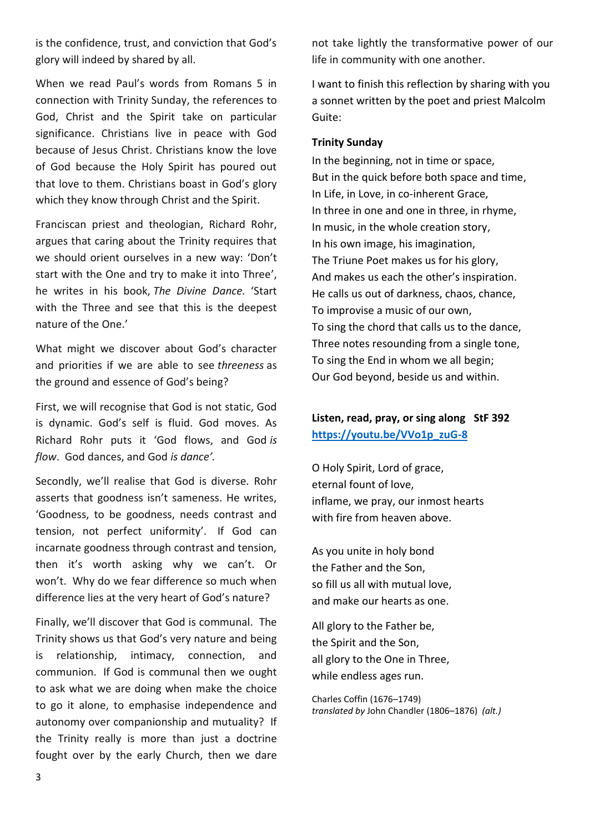is the confidence, trust, and conviction that God's glory will indeed by shared by all.

When we read Paul's words from Romans 5 in connection with Trinity Sunday, the references to God, Christ and the Spirit take on particular significance. Christians live in peace with God because of Jesus Christ. Christians know the love of God because the Holy Spirit has poured out that love to them. Christians boast in God's glory which they know through Christ and the Spirit.

Franciscan priest and theologian, Richard Rohr, argues that caring about the Trinity requires that we should orient ourselves in a new way: 'Don't start with the One and try to make it into Three', he writes in his book, *The Divine Dance.* 'Start with the Three and see that this is the deepest nature of the One.'

What might we discover about God's character and priorities if we are able to see *threeness* as the ground and essence of God's being?

First, we will recognise that God is not static, God is dynamic. God's self is fluid. God moves. As Richard Rohr puts it 'God flows, and God *is flow*. God dances, and God *is dance'.*

Secondly, we'll realise that God is diverse. Rohr asserts that goodness isn't sameness. He writes, 'Goodness, to be goodness, needs contrast and tension, not perfect uniformity'. If God can incarnate goodness through contrast and tension, then it's worth asking why we can't. Or won't. Why do we fear difference so much when difference lies at the very heart of God's nature?

Finally, we'll discover that God is communal. The Trinity shows us that God's very nature and being is relationship, intimacy, connection, and communion. If God is communal then we ought to ask what we are doing when make the choice to go it alone, to emphasise independence and autonomy over companionship and mutuality? If the Trinity really is more than just a doctrine fought over by the early Church, then we dare not take lightly the transformative power of our life in community with one another.

I want to finish this reflection by sharing with you a sonnet written by the poet and priest Malcolm Guite:

## **Trinity Sunday**

In the beginning, not in time or space, But in the quick before both space and time, In Life, in Love, in co-inherent Grace, In three in one and one in three, in rhyme, In music, in the whole creation story, In his own image, his imagination, The Triune Poet makes us for his glory, And makes us each the other's inspiration. He calls us out of darkness, chaos, chance, To improvise a music of our own, To sing the chord that calls us to the dance, Three notes resounding from a single tone, To sing the End in whom we all begin; Our God beyond, beside us and within.

## **Listen, read, pray, or sing along StF 392 [https://youtu.be/VVo1p\\_zuG-8](https://youtu.be/VVo1p_zuG-8)**

O Holy Spirit, Lord of grace, eternal fount of love, inflame, we pray, our inmost hearts with fire from heaven above.

As you unite in holy bond the Father and the Son, so fill us all with mutual love, and make our hearts as one.

All glory to the Father be, the Spirit and the Son, all glory to the One in Three, while endless ages run.

Charles Coffin (1676–1749) *translated by* John Chandler (1806–1876) *(alt.)*